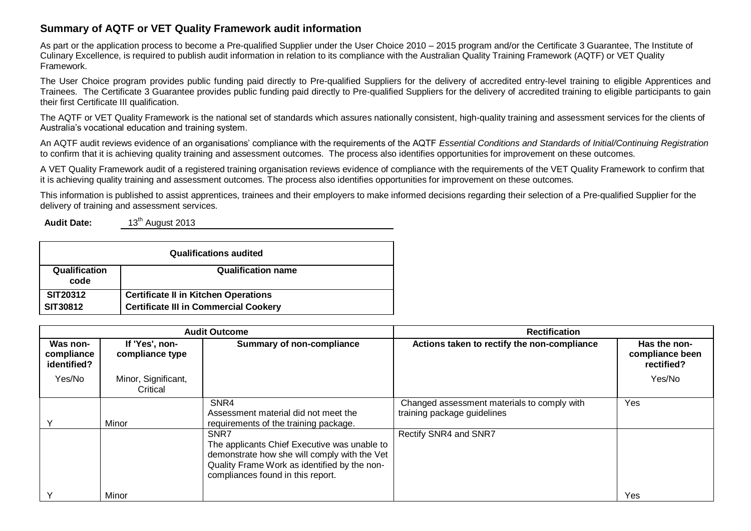## **Summary of AQTF or VET Quality Framework audit information**

As part or the application process to become a Pre-qualified Supplier under the User Choice 2010 – 2015 program and/or the Certificate 3 Guarantee, The Institute of Culinary Excellence, is required to publish audit information in relation to its compliance with the Australian Quality Training Framework (AQTF) or VET Quality Framework.

The User Choice program provides public funding paid directly to Pre-qualified Suppliers for the delivery of accredited entry-level training to eligible Apprentices and Trainees. The Certificate 3 Guarantee provides public funding paid directly to Pre-qualified Suppliers for the delivery of accredited training to eligible participants to gain their first Certificate III qualification.

The AQTF or VET Quality Framework is the national set of standards which assures nationally consistent, high-quality training and assessment services for the clients of Australia's vocational education and training system.

An AQTF audit reviews evidence of an organisations' compliance with the requirements of the AQTF *Essential Conditions and Standards of Initial/Continuing Registration* to confirm that it is achieving quality training and assessment outcomes. The process also identifies opportunities for improvement on these outcomes.

A VET Quality Framework audit of a registered training organisation reviews evidence of compliance with the requirements of the VET Quality Framework to confirm that it is achieving quality training and assessment outcomes. The process also identifies opportunities for improvement on these outcomes.

This information is published to assist apprentices, trainees and their employers to make informed decisions regarding their selection of a Pre-qualified Supplier for the delivery of training and assessment services.

**Audit Date:** 13<sup>th</sup> August 2013

| <b>Qualifications audited</b> |                                              |  |  |  |  |
|-------------------------------|----------------------------------------------|--|--|--|--|
| Qualification<br>code         | <b>Qualification name</b>                    |  |  |  |  |
| <b>SIT20312</b>               | <b>Certificate II in Kitchen Operations</b>  |  |  |  |  |
| SIT30812                      | <b>Certificate III in Commercial Cookery</b> |  |  |  |  |

| <b>Audit Outcome</b>                  |                                   |                                                                                                                                                                                           | <b>Rectification</b>                                                       |                                               |
|---------------------------------------|-----------------------------------|-------------------------------------------------------------------------------------------------------------------------------------------------------------------------------------------|----------------------------------------------------------------------------|-----------------------------------------------|
| Was non-<br>compliance<br>identified? | If 'Yes', non-<br>compliance type | <b>Summary of non-compliance</b>                                                                                                                                                          | Actions taken to rectify the non-compliance                                | Has the non-<br>compliance been<br>rectified? |
| Yes/No                                | Minor, Significant,<br>Critical   |                                                                                                                                                                                           |                                                                            | Yes/No                                        |
|                                       | Minor                             | SNR4<br>Assessment material did not meet the<br>requirements of the training package.                                                                                                     | Changed assessment materials to comply with<br>training package guidelines | Yes                                           |
|                                       |                                   | SNR7<br>The applicants Chief Executive was unable to<br>demonstrate how she will comply with the Vet<br>Quality Frame Work as identified by the non-<br>compliances found in this report. | Rectify SNR4 and SNR7                                                      |                                               |
|                                       | Minor                             |                                                                                                                                                                                           |                                                                            | Yes                                           |